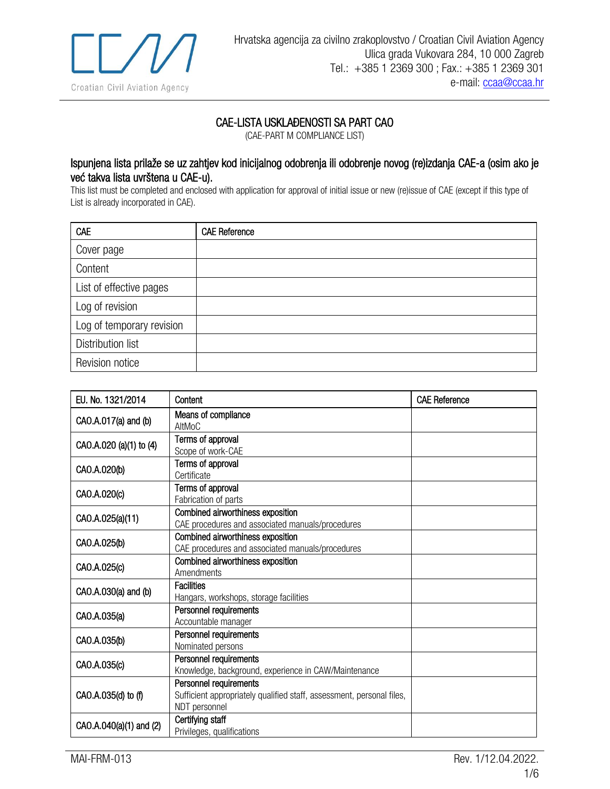

## CAE-LISTA USKLAĐENOSTI SA PART CAO

(CAE-PART M COMPLIANCE LIST)

## Ispunjena lista prilaže se uz zahtjev kod inicijalnog odobrenja ili odobrenje novog (re)izdanja CAE-a (osim ako je već takva lista uvrštena u CAE-u).

This list must be completed and enclosed with application for approval of initial issue or new (re)issue of CAE (except if this type of List is already incorporated in CAE).

| CAE                       | <b>CAE Reference</b> |
|---------------------------|----------------------|
| Cover page                |                      |
| Content                   |                      |
| List of effective pages   |                      |
| Log of revision           |                      |
| Log of temporary revision |                      |
| Distribution list         |                      |
| Revision notice           |                      |

| EU. No. 1321/2014       | Content                                                                                                          | <b>CAE Reference</b> |
|-------------------------|------------------------------------------------------------------------------------------------------------------|----------------------|
| CAO.A.017(a) and (b)    | Means of compliance<br>AltMoC                                                                                    |                      |
| CAO.A.020 (a)(1) to (4) | Terms of approval<br>Scope of work-CAE                                                                           |                      |
| CAO.A.020(b)            | Terms of approval<br>Certificate                                                                                 |                      |
| CAO.A.020(c)            | Terms of approval<br>Fabrication of parts                                                                        |                      |
| CAO.A.025(a)(11)        | Combined airworthiness exposition<br>CAE procedures and associated manuals/procedures                            |                      |
| CAO.A.025(b)            | Combined airworthiness exposition<br>CAE procedures and associated manuals/procedures                            |                      |
| CAO.A.025(c)            | Combined airworthiness exposition<br>Amendments                                                                  |                      |
| CAO.A.030(a) and (b)    | <b>Facilities</b><br>Hangars, workshops, storage facilities                                                      |                      |
| CAO.A.035(a)            | Personnel requirements<br>Accountable manager                                                                    |                      |
| CAO.A.035(b)            | Personnel requirements<br>Nominated persons                                                                      |                      |
| CAO.A.035(c)            | Personnel requirements<br>Knowledge, background, experience in CAW/Maintenance                                   |                      |
| CAO.A.035(d) to (f)     | Personnel requirements<br>Sufficient appropriately qualified staff, assessment, personal files,<br>NDT personnel |                      |
| CAO.A.040(a)(1) and (2) | Certifying staff<br>Privileges, qualifications                                                                   |                      |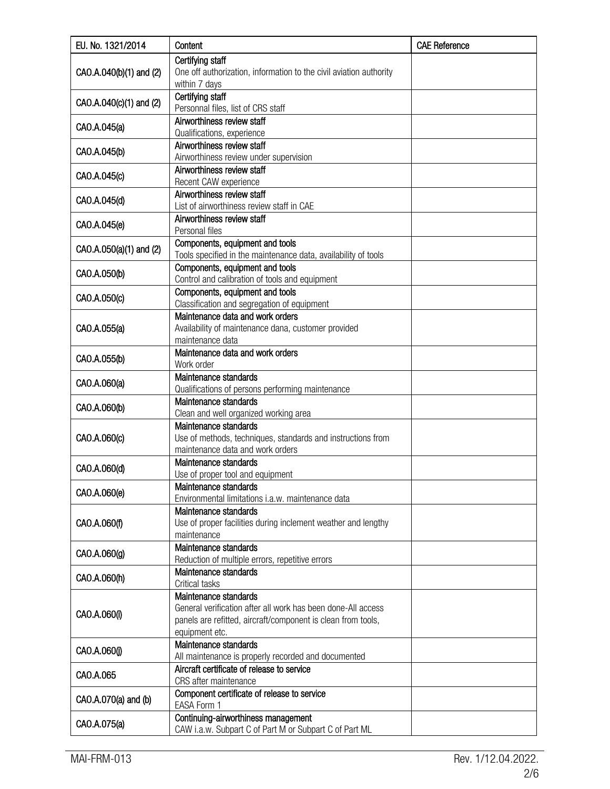| EU. No. 1321/2014       | Content                                                                                           | <b>CAE Reference</b> |
|-------------------------|---------------------------------------------------------------------------------------------------|----------------------|
|                         | Certifying staff                                                                                  |                      |
| CAO.A.040(b)(1) and (2) | One off authorization, information to the civil aviation authority                                |                      |
|                         | within 7 days                                                                                     |                      |
| CAO.A.040(c)(1) and (2) | Certifying staff                                                                                  |                      |
|                         | Personnal files, list of CRS staff                                                                |                      |
| CAO.A.045(a)            | Airworthiness review staff                                                                        |                      |
|                         | Qualifications, experience<br>Airworthiness review staff                                          |                      |
| CAO.A.045(b)            | Airworthiness review under supervision                                                            |                      |
|                         | Airworthiness review staff                                                                        |                      |
| CAO.A.045(c)            | Recent CAW experience                                                                             |                      |
|                         | Airworthiness review staff                                                                        |                      |
| CAO.A.045(d)            | List of airworthiness review staff in CAE                                                         |                      |
| CAO.A.045(e)            | Airworthiness review staff                                                                        |                      |
|                         | Personal files                                                                                    |                      |
| CAO.A.050(a)(1) and (2) | Components, equipment and tools                                                                   |                      |
|                         | Tools specified in the maintenance data, availability of tools                                    |                      |
| CAO.A.050(b)            | Components, equipment and tools<br>Control and calibration of tools and equipment                 |                      |
|                         | Components, equipment and tools                                                                   |                      |
| CAO.A.050(c)            | Classification and segregation of equipment                                                       |                      |
|                         | Maintenance data and work orders                                                                  |                      |
| CAO.A.055(a)            | Availability of maintenance dana, customer provided                                               |                      |
|                         | maintenance data                                                                                  |                      |
| CAO.A.055(b)            | Maintenance data and work orders                                                                  |                      |
|                         | Work order                                                                                        |                      |
| CAO.A.060(a)            | Maintenance standards                                                                             |                      |
|                         | Qualifications of persons performing maintenance                                                  |                      |
| CAO.A.060(b)            | Maintenance standards                                                                             |                      |
|                         | Clean and well organized working area<br>Maintenance standards                                    |                      |
| CAO.A.060(c)            | Use of methods, techniques, standards and instructions from                                       |                      |
|                         | maintenance data and work orders                                                                  |                      |
|                         | Maintenance standards                                                                             |                      |
| CAO.A.060(d)            | Use of proper tool and equipment                                                                  |                      |
| CAO.A.060(e)            | Maintenance standards                                                                             |                      |
|                         | Environmental limitations i.a.w. maintenance data                                                 |                      |
|                         | Maintenance standards                                                                             |                      |
| CAO.A.060(f)            | Use of proper facilities during inclement weather and lengthy<br>maintenance                      |                      |
|                         | Maintenance standards                                                                             |                      |
| CAO.A.060(g)            | Reduction of multiple errors, repetitive errors                                                   |                      |
|                         | Maintenance standards                                                                             |                      |
| CAO.A.060(h)            | Critical tasks                                                                                    |                      |
|                         | Maintenance standards                                                                             |                      |
| CAO.A.060(i)            | General verification after all work has been done-All access                                      |                      |
|                         | panels are refitted, aircraft/component is clean from tools,                                      |                      |
|                         | equipment etc.                                                                                    |                      |
| CAO.A.060(j)            | Maintenance standards                                                                             |                      |
|                         | All maintenance is properly recorded and documented<br>Aircraft certificate of release to service |                      |
| CAO.A.065               | CRS after maintenance                                                                             |                      |
|                         | Component certificate of release to service                                                       |                      |
| CAO.A.070(a) and (b)    | EASA Form 1                                                                                       |                      |
| CAO.A.075(a)            | Continuing-airworthiness management                                                               |                      |
|                         | CAW i.a.w. Subpart C of Part M or Subpart C of Part ML                                            |                      |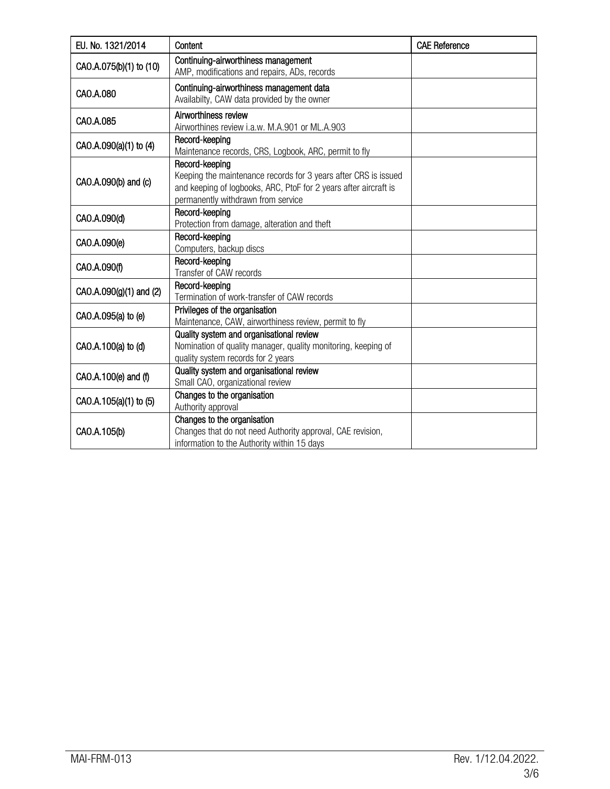| EU. No. 1321/2014       | Content                                                                                                                                                                                     | <b>CAE Reference</b> |
|-------------------------|---------------------------------------------------------------------------------------------------------------------------------------------------------------------------------------------|----------------------|
| CAO.A.075(b)(1) to (10) | Continuing-airworthiness management<br>AMP, modifications and repairs, ADs, records                                                                                                         |                      |
| CAO.A.080               | Continuing-airworthiness management data<br>Availabilty, CAW data provided by the owner                                                                                                     |                      |
| CAO.A.085               | Airworthiness review<br>Airworthines review i.a.w. M.A.901 or ML.A.903                                                                                                                      |                      |
| CAO.A.090(a)(1) to (4)  | Record-keeping<br>Maintenance records, CRS, Logbook, ARC, permit to fly                                                                                                                     |                      |
| CAO.A.090(b) and (c)    | Record-keeping<br>Keeping the maintenance records for 3 years after CRS is issued<br>and keeping of logbooks, ARC, PtoF for 2 years after aircraft is<br>permanently withdrawn from service |                      |
| CAO.A.090(d)            | Record-keeping<br>Protection from damage, alteration and theft                                                                                                                              |                      |
| CAO.A.090(e)            | Record-keeping<br>Computers, backup discs                                                                                                                                                   |                      |
| CAO.A.090(f)            | Record-keeping<br>Transfer of CAW records                                                                                                                                                   |                      |
| CAO.A.090(g)(1) and (2) | Record-keeping<br>Termination of work-transfer of CAW records                                                                                                                               |                      |
| CAO.A.095(a) to (e)     | Privileges of the organisation<br>Maintenance, CAW, airworthiness review, permit to fly                                                                                                     |                      |
| CAO.A.100(a) to (d)     | Quality system and organisational review<br>Nomination of quality manager, quality monitoring, keeping of<br>quality system records for 2 years                                             |                      |
| CAO.A.100(e) and (f)    | Quality system and organisational review<br>Small CAO, organizational review                                                                                                                |                      |
| CAO.A.105(a)(1) to (5)  | Changes to the organisation<br>Authority approval                                                                                                                                           |                      |
| CAO.A.105(b)            | Changes to the organisation<br>Changes that do not need Authority approval, CAE revision,<br>information to the Authority within 15 days                                                    |                      |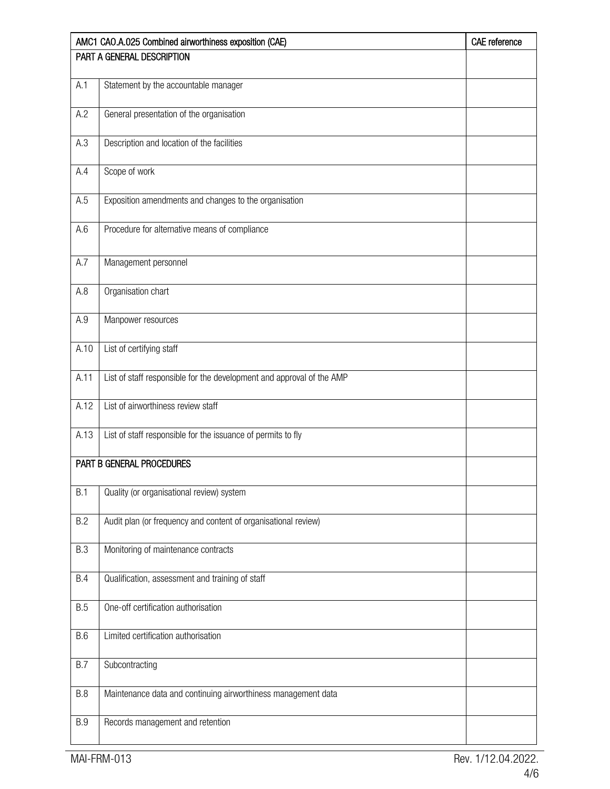|                            | AMC1 CAO.A.025 Combined airworthiness exposition (CAE)                | CAE reference |
|----------------------------|-----------------------------------------------------------------------|---------------|
| PART A GENERAL DESCRIPTION |                                                                       |               |
| A.1                        | Statement by the accountable manager                                  |               |
|                            |                                                                       |               |
| A.2                        | General presentation of the organisation                              |               |
|                            |                                                                       |               |
| A.3                        | Description and location of the facilities                            |               |
| A.4                        | Scope of work                                                         |               |
|                            |                                                                       |               |
| A.5                        | Exposition amendments and changes to the organisation                 |               |
| A.6                        | Procedure for alternative means of compliance                         |               |
|                            |                                                                       |               |
| A.7                        | Management personnel                                                  |               |
|                            |                                                                       |               |
| A.8                        | Organisation chart                                                    |               |
| A.9                        | Manpower resources                                                    |               |
|                            |                                                                       |               |
| A.10                       | List of certifying staff                                              |               |
| A.11                       | List of staff responsible for the development and approval of the AMP |               |
|                            |                                                                       |               |
| A.12                       | List of airworthiness review staff                                    |               |
| A.13                       | List of staff responsible for the issuance of permits to fly          |               |
|                            |                                                                       |               |
|                            | PART B GENERAL PROCEDURES                                             |               |
|                            |                                                                       |               |
| B.1                        | Quality (or organisational review) system                             |               |
| B.2                        | Audit plan (or frequency and content of organisational review)        |               |
|                            |                                                                       |               |
| <b>B.3</b>                 | Monitoring of maintenance contracts                                   |               |
| <b>B.4</b>                 | Qualification, assessment and training of staff                       |               |
|                            |                                                                       |               |
| B.5                        | One-off certification authorisation                                   |               |
| <b>B.6</b>                 | Limited certification authorisation                                   |               |
|                            |                                                                       |               |
| <b>B.7</b>                 | Subcontracting                                                        |               |
|                            |                                                                       |               |
| <b>B.8</b>                 | Maintenance data and continuing airworthiness management data         |               |
| <b>B.9</b>                 | Records management and retention                                      |               |
|                            |                                                                       |               |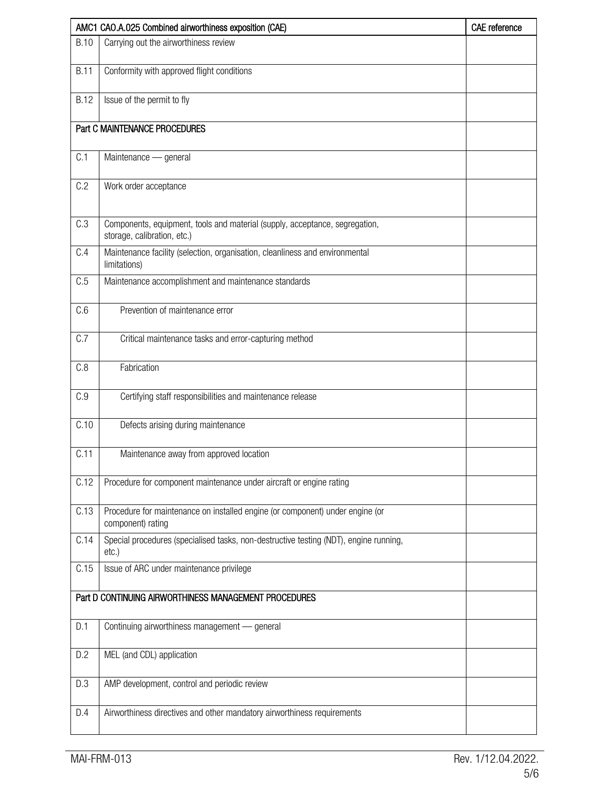|             | AMC1 CAO.A.025 Combined airworthiness exposition (CAE)                                                     |  |
|-------------|------------------------------------------------------------------------------------------------------------|--|
| <b>B.10</b> | Carrying out the airworthiness review                                                                      |  |
| <b>B.11</b> | Conformity with approved flight conditions                                                                 |  |
| <b>B.12</b> | Issue of the permit to fly                                                                                 |  |
|             | Part C MAINTENANCE PROCEDURES                                                                              |  |
| C.1         | Maintenance - general                                                                                      |  |
| C.2         | Work order acceptance                                                                                      |  |
| C.3         | Components, equipment, tools and material (supply, acceptance, segregation,<br>storage, calibration, etc.) |  |
| C.4         | Maintenance facility (selection, organisation, cleanliness and environmental<br>limitations)               |  |
| C.5         | Maintenance accomplishment and maintenance standards                                                       |  |
| C.6         | Prevention of maintenance error                                                                            |  |
| C.7         | Critical maintenance tasks and error-capturing method                                                      |  |
| C.8         | Fabrication                                                                                                |  |
| C.9         | Certifying staff responsibilities and maintenance release                                                  |  |
| C.10        | Defects arising during maintenance                                                                         |  |
| C.11        | Maintenance away from approved location                                                                    |  |
| C.12        | Procedure for component maintenance under aircraft or engine rating                                        |  |
| C.13        | Procedure for maintenance on installed engine (or component) under engine (or<br>component) rating         |  |
| C.14        | Special procedures (specialised tasks, non-destructive testing (NDT), engine running,<br>$etc.$ )          |  |
| C.15        | Issue of ARC under maintenance privilege                                                                   |  |
|             | Part D CONTINUING AIRWORTHINESS MANAGEMENT PROCEDURES                                                      |  |
| D.1         | Continuing airworthiness management - general                                                              |  |
| D.2         | MEL (and CDL) application                                                                                  |  |
| D.3         | AMP development, control and periodic review                                                               |  |
| D.4         | Airworthiness directives and other mandatory airworthiness requirements                                    |  |